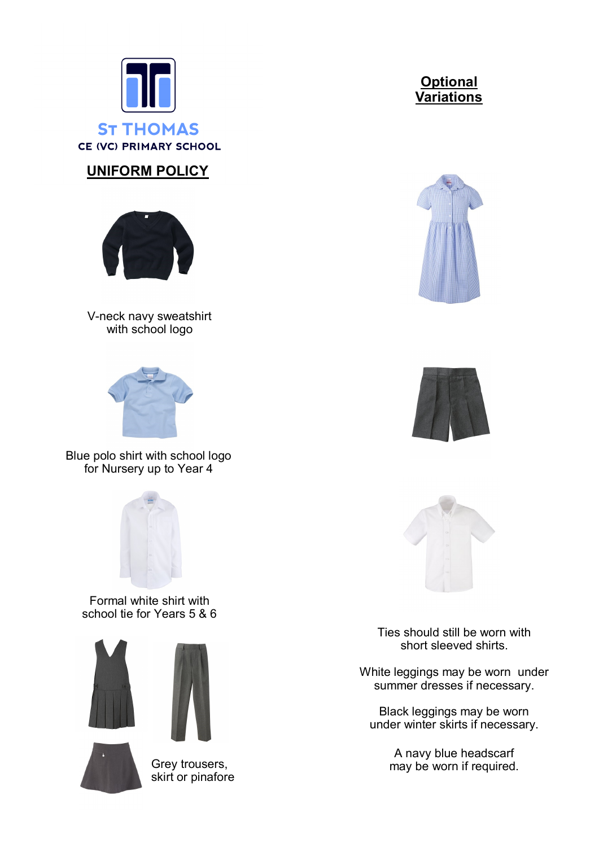

# **UNIFORM POLICY**



V-neck navy sweatshirt with school logo



Blue polo shirt with school logo for Nursery up to Year 4



Formal white shirt with school tie for Years 5 & 6







Grey trousers, skirt or pinafore









Ties should still be worn with short sleeved shirts.

White leggings may be worn under summer dresses if necessary.

Black leggings may be worn under winter skirts if necessary.

> A navy blue headscarf may be worn if required.